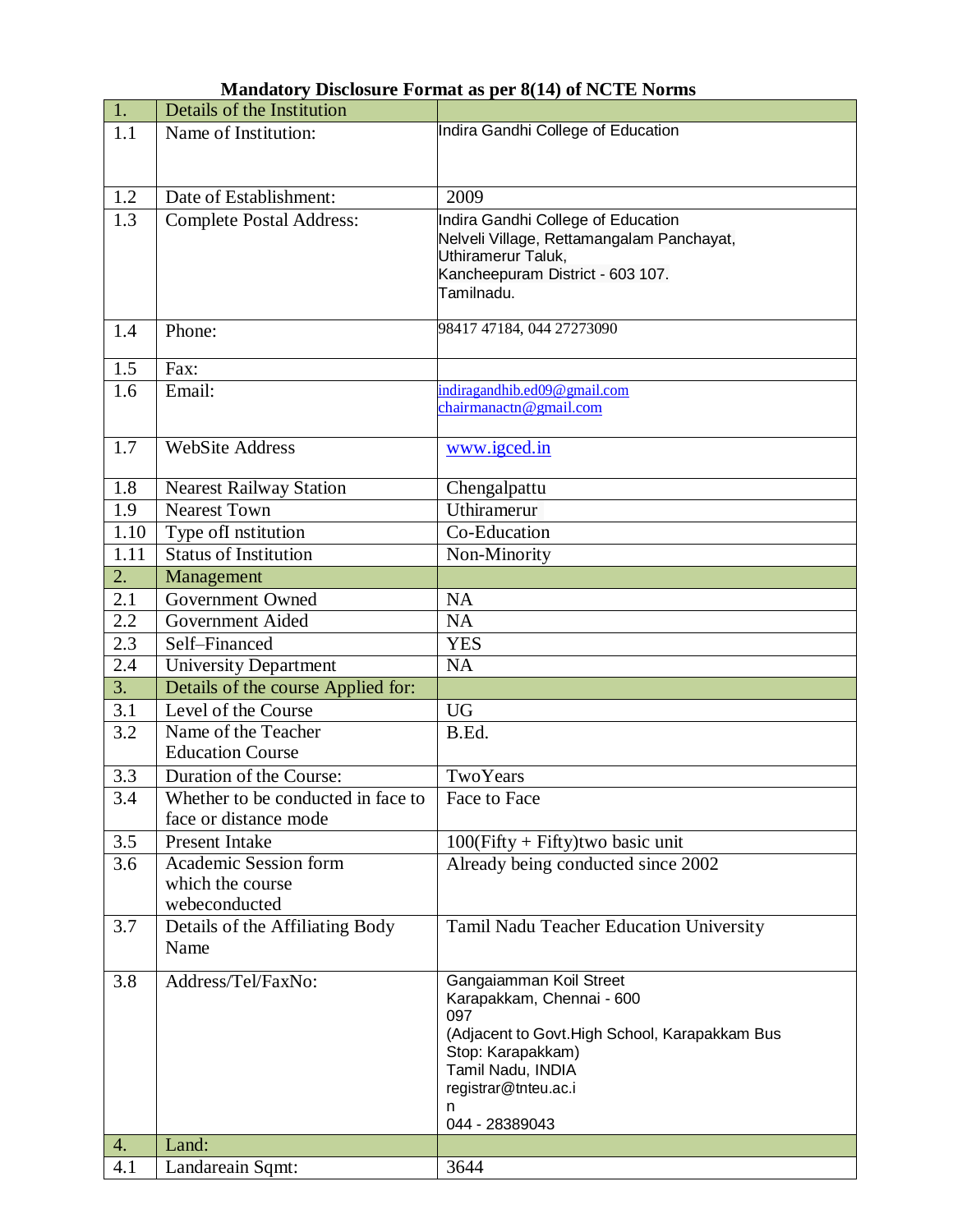| 1.   | Details of the Institution         |                                                |
|------|------------------------------------|------------------------------------------------|
| 1.1  | Name of Institution:               | Indira Gandhi College of Education             |
|      |                                    |                                                |
|      |                                    |                                                |
| 1.2  | Date of Establishment:             | 2009                                           |
| 1.3  | <b>Complete Postal Address:</b>    | Indira Gandhi College of Education             |
|      |                                    | Nelveli Village, Rettamangalam Panchayat,      |
|      |                                    | Uthiramerur Taluk,                             |
|      |                                    | Kancheepuram District - 603 107.               |
|      |                                    | Tamilnadu.                                     |
| 1.4  | Phone:                             | 98417 47184, 044 27273090                      |
|      |                                    |                                                |
| 1.5  | Fax:                               |                                                |
| 1.6  | Email:                             | indiragandhib.ed09@gmail.com                   |
|      |                                    | chairmanactn@gmail.com                         |
|      |                                    |                                                |
| 1.7  | <b>WebSite Address</b>             | www.igced.in                                   |
|      |                                    |                                                |
| 1.8  | <b>Nearest Railway Station</b>     | Chengalpattu                                   |
| 1.9  | <b>Nearest Town</b>                | Uthiramerur                                    |
| 1.10 | Type ofI nstitution                | Co-Education                                   |
| 1.11 | <b>Status of Institution</b>       | Non-Minority                                   |
| 2.   | Management                         |                                                |
| 2.1  | Government Owned                   | NA                                             |
| 2.2  | Government Aided                   | <b>NA</b>                                      |
| 2.3  | Self-Financed                      | <b>YES</b>                                     |
| 2.4  | <b>University Department</b>       | <b>NA</b>                                      |
| 3.   | Details of the course Applied for: |                                                |
| 3.1  | Level of the Course                | <b>UG</b>                                      |
| 3.2  | Name of the Teacher                | B.Ed.                                          |
|      | <b>Education Course</b>            |                                                |
| 3.3  | Duration of the Course:            | TwoYears                                       |
| 3.4  | Whether to be conducted in face to | Face to Face                                   |
|      | face or distance mode              |                                                |
| 3.5  | Present Intake                     | $100(Fifty + Fifty)$ two basic unit            |
| 3.6  | Academic Session form              | Already being conducted since 2002             |
|      | which the course                   |                                                |
|      | webeconducted                      |                                                |
| 3.7  | Details of the Affiliating Body    | Tamil Nadu Teacher Education University        |
|      | Name                               |                                                |
| 3.8  | Address/Tel/FaxNo:                 | Gangaiamman Koil Street                        |
|      |                                    | Karapakkam, Chennai - 600                      |
|      |                                    | 097                                            |
|      |                                    | (Adjacent to Govt. High School, Karapakkam Bus |
|      |                                    | Stop: Karapakkam)                              |
|      |                                    | Tamil Nadu, INDIA<br>registrar@tnteu.ac.i      |
|      |                                    | n                                              |
|      |                                    | 044 - 28389043                                 |
| 4.   | Land:                              |                                                |
| 4.1  | Landareain Sqmt:                   | 3644                                           |

## **Mandatory Disclosure Format as per 8(14) of NCTE Norms**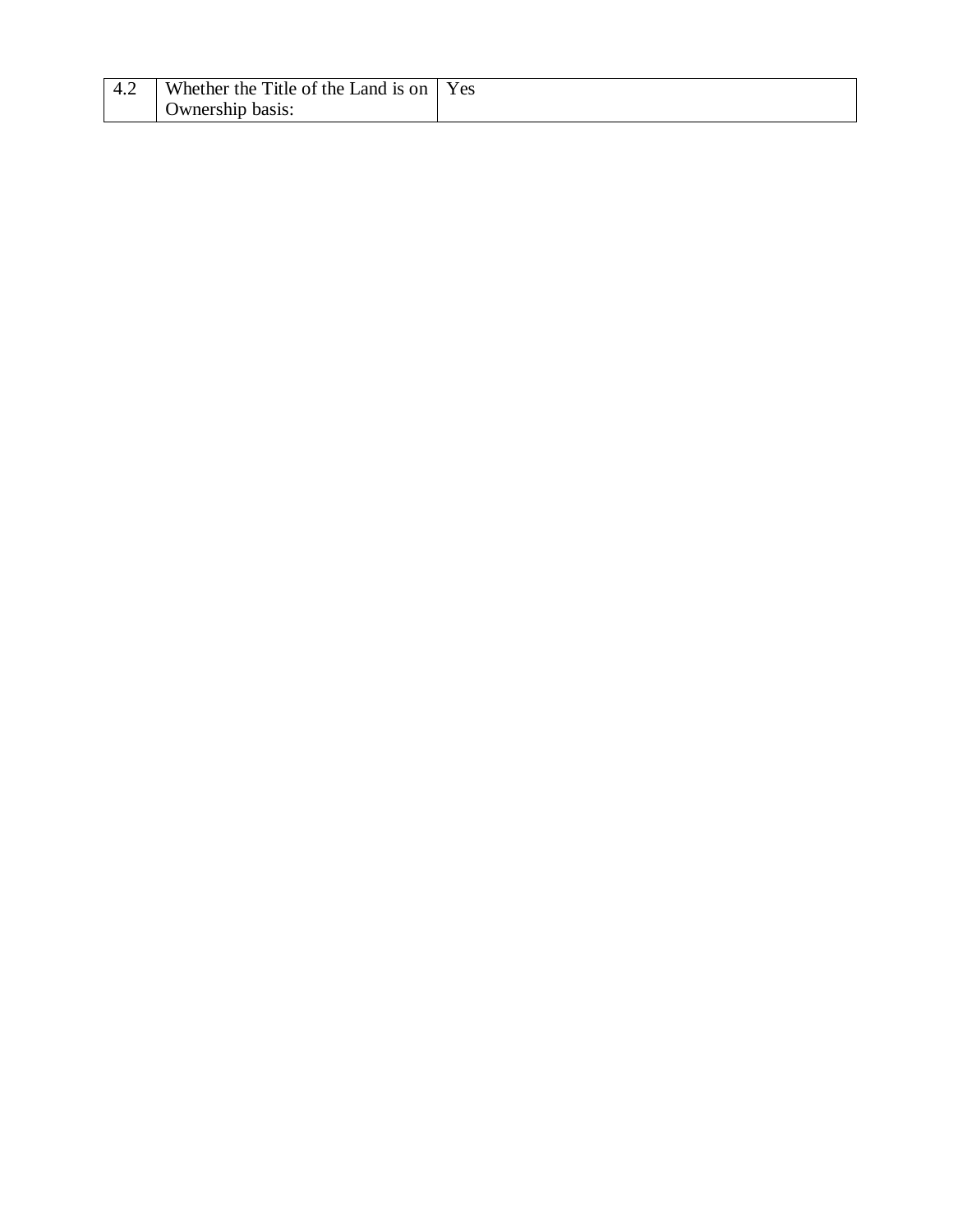| I Whether the Title of the Land is on I' | Yes |
|------------------------------------------|-----|
| Ownership basis:                         |     |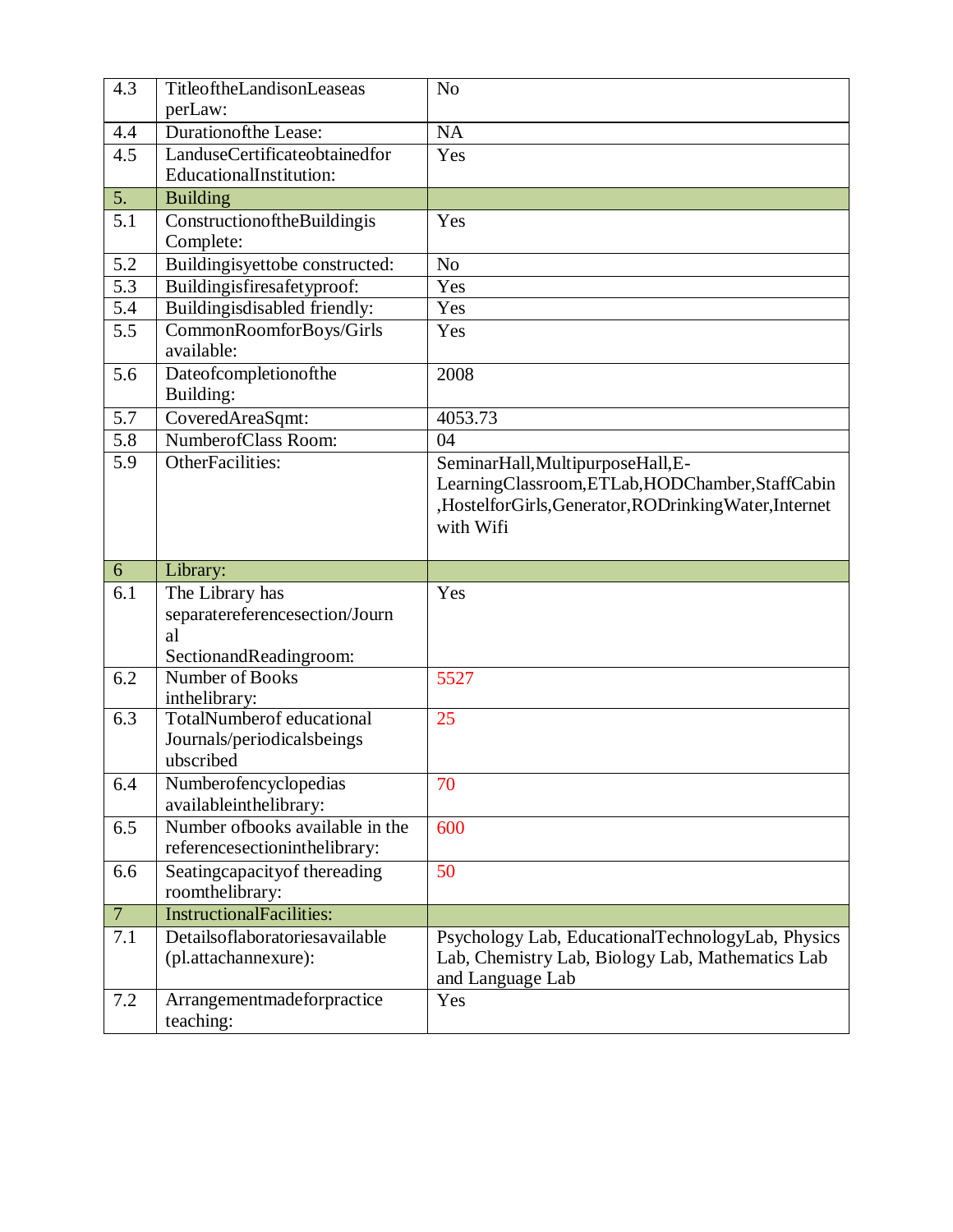| 4.3            | TitleoftheLandisonLeaseas<br>perLaw:                                                         | N <sub>o</sub>                                                                                                                                        |
|----------------|----------------------------------------------------------------------------------------------|-------------------------------------------------------------------------------------------------------------------------------------------------------|
| 4.4            | <b>Durationofthe Lease:</b>                                                                  | <b>NA</b>                                                                                                                                             |
| 4.5            | LanduseCertificateobtainedfor<br>EducationalInstitution:                                     | Yes                                                                                                                                                   |
| 5.             | <b>Building</b>                                                                              |                                                                                                                                                       |
| 5.1            | ConstructionoftheBuildingis<br>Complete:                                                     | Yes                                                                                                                                                   |
| 5.2            | Buildingisyettobe constructed:                                                               | N <sub>o</sub>                                                                                                                                        |
| 5.3            | Buildingisfiresafetyproof:                                                                   | Yes                                                                                                                                                   |
| 5.4            | Buildingisdisabled friendly:                                                                 | Yes                                                                                                                                                   |
| 5.5            | CommonRoomforBoys/Girls<br>available:                                                        | Yes                                                                                                                                                   |
| 5.6            | Dateofcompletionofthe<br>Building:                                                           | 2008                                                                                                                                                  |
| 5.7            | CoveredAreaSqmt:                                                                             | 4053.73                                                                                                                                               |
| 5.8            | NumberofClass Room:                                                                          | 04                                                                                                                                                    |
| 5.9            | OtherFacilities:                                                                             | SeminarHall, MultipurposeHall, E-<br>LearningClassroom,ETLab,HODChamber,StaffCabin<br>,HostelforGirls,Generator,RODrinkingWater,Internet<br>with Wifi |
|                |                                                                                              |                                                                                                                                                       |
| 6              | Library:                                                                                     |                                                                                                                                                       |
| 6.1            | The Library has<br>separatereferencesection/Journ<br>al                                      | Yes                                                                                                                                                   |
| 6.2            | SectionandReadingroom:<br>Number of Books                                                    | 5527                                                                                                                                                  |
| 6.3            | inthelibrary:<br><b>TotalNumberof</b> educational<br>Journals/periodicalsbeings<br>ubscribed | 25                                                                                                                                                    |
| 6.4            | Numberofencyclopedias<br>availableinthelibrary:                                              | 70                                                                                                                                                    |
| 6.5            | Number ofbooks available in the<br>referencesection<br>inthelibrary:                         | 600                                                                                                                                                   |
| 6.6            | Seatingcapacity of the reading<br>roomthelibrary:                                            | 50                                                                                                                                                    |
| $\overline{7}$ | <b>InstructionalFacilities:</b>                                                              |                                                                                                                                                       |
| 7.1<br>7.2     | Detailsoflaboratoriesavailable<br>(pl.attachannexure):<br>Arrangementmadeforpractice         | Psychology Lab, EducationalTechnologyLab, Physics<br>Lab, Chemistry Lab, Biology Lab, Mathematics Lab<br>and Language Lab<br>Yes                      |